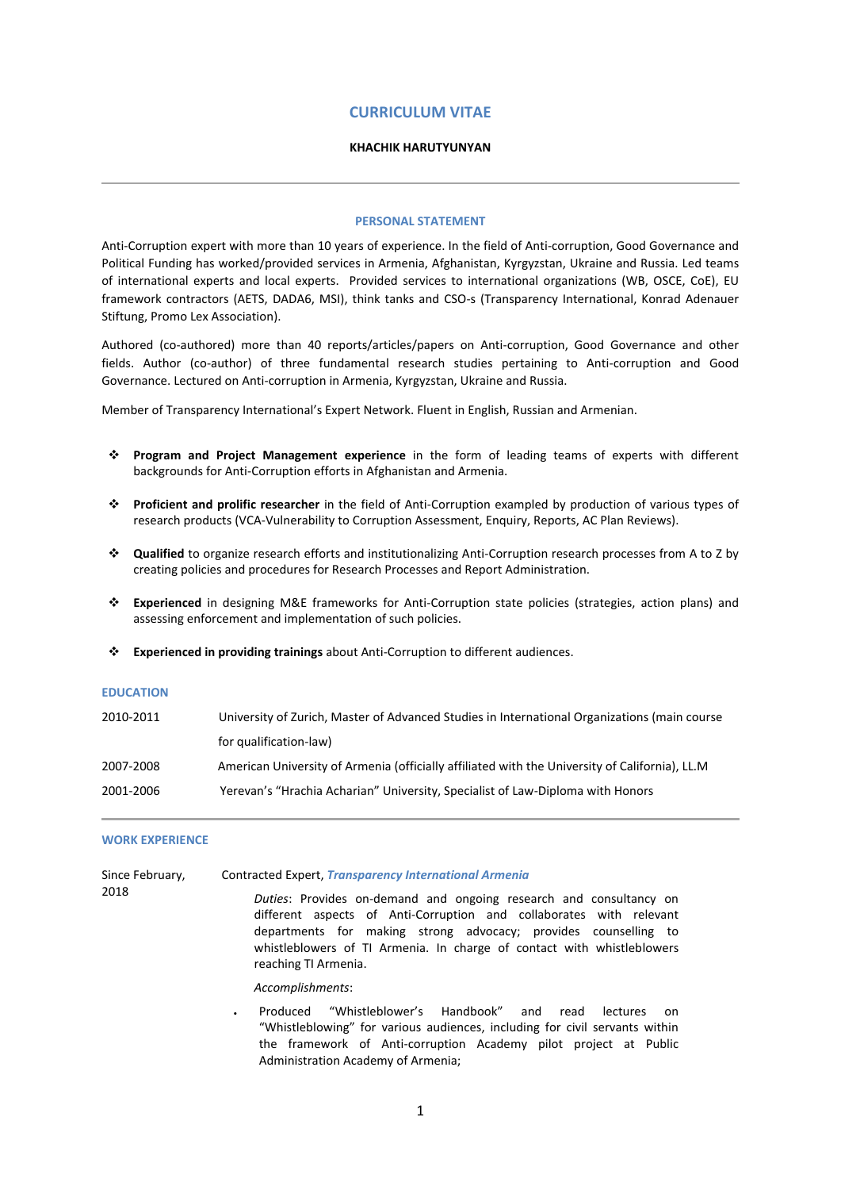# **CURRICULUM VITAE**

## **KHACHIK HARUTYUNYAN**

### **PERSONAL STATEMENT**

Anti-Corruption expert with more than 10 years of experience. In the field of Anti-corruption, Good Governance and Political Funding has worked/provided services in Armenia, Afghanistan, Kyrgyzstan, Ukraine and Russia. Led teams of international experts and local experts. Provided services to international organizations (WB, OSCE, CoE), EU framework contractors (AETS, DADA6, MSI), think tanks and CSO-s (Transparency International, Konrad Adenauer Stiftung, Promo Lex Association).

Authored (co-authored) more than 40 reports/articles/papers on Anti-corruption, Good Governance and other fields. Author (co-author) of three fundamental research studies pertaining to Anti-corruption and Good Governance. Lectured on Anti-corruption in Armenia, Kyrgyzstan, Ukraine and Russia.

Member of Transparency International's Expert Network. Fluent in English, Russian and Armenian.

- **Program and Project Management experience** in the form of leading teams of experts with different backgrounds for Anti-Corruption efforts in Afghanistan and Armenia.
- **Proficient and prolific researcher** in the field of Anti-Corruption exampled by production of various types of research products (VCA-Vulnerability to Corruption Assessment, Enquiry, Reports, AC Plan Reviews).
- **Qualified** to organize research efforts and institutionalizing Anti-Corruption research processes from A to Z by creating policies and procedures for Research Processes and Report Administration.
- **Experienced** in designing M&E frameworks for Anti-Corruption state policies (strategies, action plans) and assessing enforcement and implementation of such policies.
- **Experienced in providing trainings** about Anti-Corruption to different audiences.

#### **EDUCATION**

| University of Zurich, Master of Advanced Studies in International Organizations (main course   |
|------------------------------------------------------------------------------------------------|
| for qualification-law)                                                                         |
| American University of Armenia (officially affiliated with the University of California), LL.M |
| Yerevan's "Hrachia Acharian" University, Specialist of Law-Diploma with Honors                 |
|                                                                                                |

#### **WORK EXPERIENCE**

| Since February,<br>2018 | <b>Contracted Expert, Transparency International Armenia</b>                                                                                                                                                                                                                                                   |
|-------------------------|----------------------------------------------------------------------------------------------------------------------------------------------------------------------------------------------------------------------------------------------------------------------------------------------------------------|
|                         | Duties: Provides on-demand and ongoing research and consultancy on<br>different aspects of Anti-Corruption and collaborates with relevant<br>departments for making strong advocacy; provides counselling to<br>whistleblowers of TI Armenia. In charge of contact with whistleblowers<br>reaching TI Armenia. |
|                         | Accomplishments:                                                                                                                                                                                                                                                                                               |
|                         | "Whistleblower's Handbook"<br>Produced<br>and<br>read<br>lectures<br>on                                                                                                                                                                                                                                        |

"Whistleblowing" for various audiences, including for civil servants within the framework of Anti-corruption Academy pilot project at Public Administration Academy of Armenia;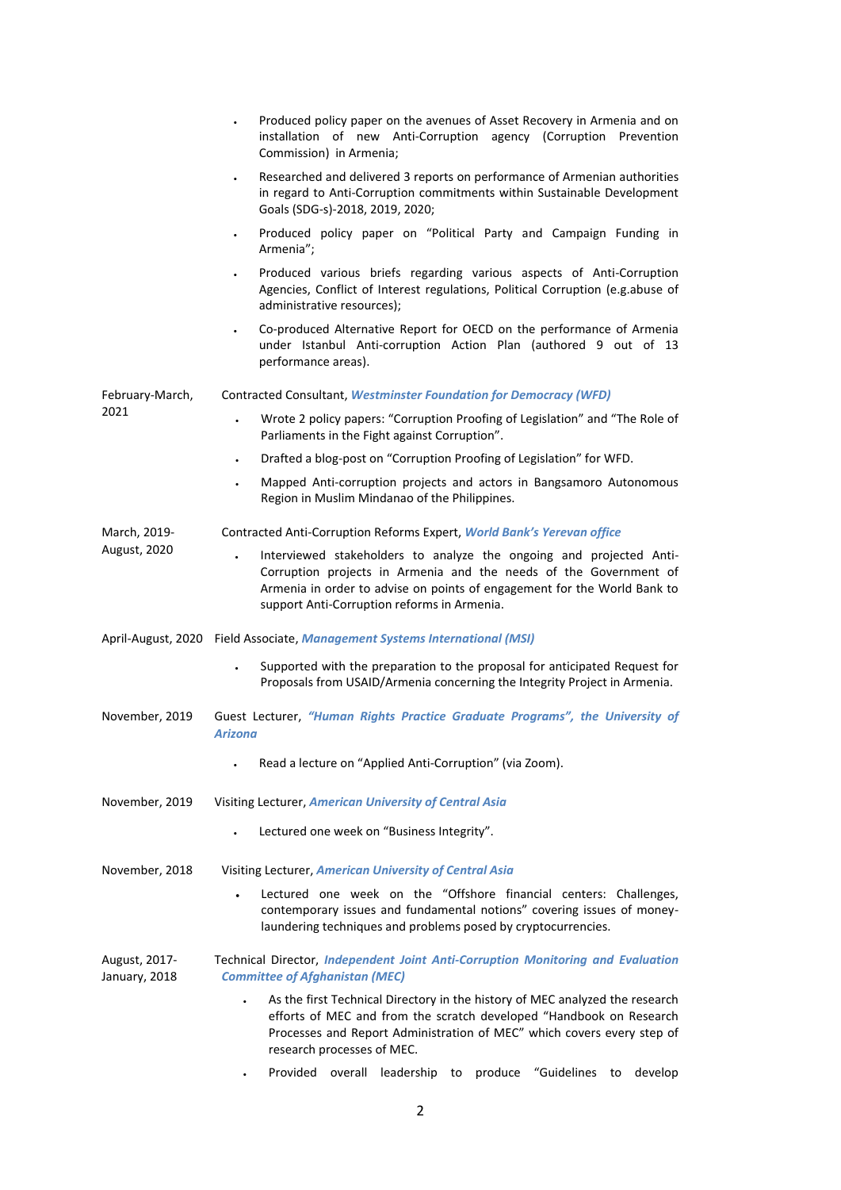|                                | Produced policy paper on the avenues of Asset Recovery in Armenia and on<br>installation of new Anti-Corruption agency (Corruption Prevention<br>Commission) in Armenia;                                                                                            |
|--------------------------------|---------------------------------------------------------------------------------------------------------------------------------------------------------------------------------------------------------------------------------------------------------------------|
|                                | Researched and delivered 3 reports on performance of Armenian authorities<br>$\bullet$<br>in regard to Anti-Corruption commitments within Sustainable Development<br>Goals (SDG-s)-2018, 2019, 2020;                                                                |
|                                | Produced policy paper on "Political Party and Campaign Funding in<br>Armenia";                                                                                                                                                                                      |
|                                | Produced various briefs regarding various aspects of Anti-Corruption<br>Agencies, Conflict of Interest regulations, Political Corruption (e.g.abuse of<br>administrative resources);                                                                                |
|                                | Co-produced Alternative Report for OECD on the performance of Armenia<br>$\bullet$<br>under Istanbul Anti-corruption Action Plan (authored 9 out of 13<br>performance areas).                                                                                       |
| February-March,                | Contracted Consultant, Westminster Foundation for Democracy (WFD)                                                                                                                                                                                                   |
| 2021                           | Wrote 2 policy papers: "Corruption Proofing of Legislation" and "The Role of<br>Parliaments in the Fight against Corruption".                                                                                                                                       |
|                                | Drafted a blog-post on "Corruption Proofing of Legislation" for WFD.<br>$\bullet$                                                                                                                                                                                   |
|                                | Mapped Anti-corruption projects and actors in Bangsamoro Autonomous<br>$\bullet$<br>Region in Muslim Mindanao of the Philippines.                                                                                                                                   |
| March, 2019-                   | Contracted Anti-Corruption Reforms Expert, World Bank's Yerevan office                                                                                                                                                                                              |
| August, 2020                   | Interviewed stakeholders to analyze the ongoing and projected Anti-<br>Corruption projects in Armenia and the needs of the Government of<br>Armenia in order to advise on points of engagement for the World Bank to<br>support Anti-Corruption reforms in Armenia. |
|                                | April-August, 2020 Field Associate, Management Systems International (MSI)                                                                                                                                                                                          |
|                                | Supported with the preparation to the proposal for anticipated Request for<br>Proposals from USAID/Armenia concerning the Integrity Project in Armenia.                                                                                                             |
| November, 2019                 | Guest Lecturer, "Human Rights Practice Graduate Programs", the University of<br><b>Arizona</b>                                                                                                                                                                      |
|                                | Read a lecture on "Applied Anti-Corruption" (via Zoom).                                                                                                                                                                                                             |
| November, 2019                 | Visiting Lecturer, American University of Central Asia                                                                                                                                                                                                              |
|                                | Lectured one week on "Business Integrity".                                                                                                                                                                                                                          |
| November, 2018                 | Visiting Lecturer, American University of Central Asia                                                                                                                                                                                                              |
|                                | Lectured one week on the "Offshore financial centers: Challenges,<br>contemporary issues and fundamental notions" covering issues of money-<br>laundering techniques and problems posed by cryptocurrencies.                                                        |
| August, 2017-<br>January, 2018 | Technical Director, Independent Joint Anti-Corruption Monitoring and Evaluation<br><b>Committee of Afghanistan (MEC)</b>                                                                                                                                            |
|                                | As the first Technical Directory in the history of MEC analyzed the research<br>efforts of MEC and from the scratch developed "Handbook on Research<br>Processes and Report Administration of MEC" which covers every step of<br>research processes of MEC.         |
|                                | Provided<br>produce<br>"Guidelines<br>overall<br>leadership<br>develop<br>to<br>to                                                                                                                                                                                  |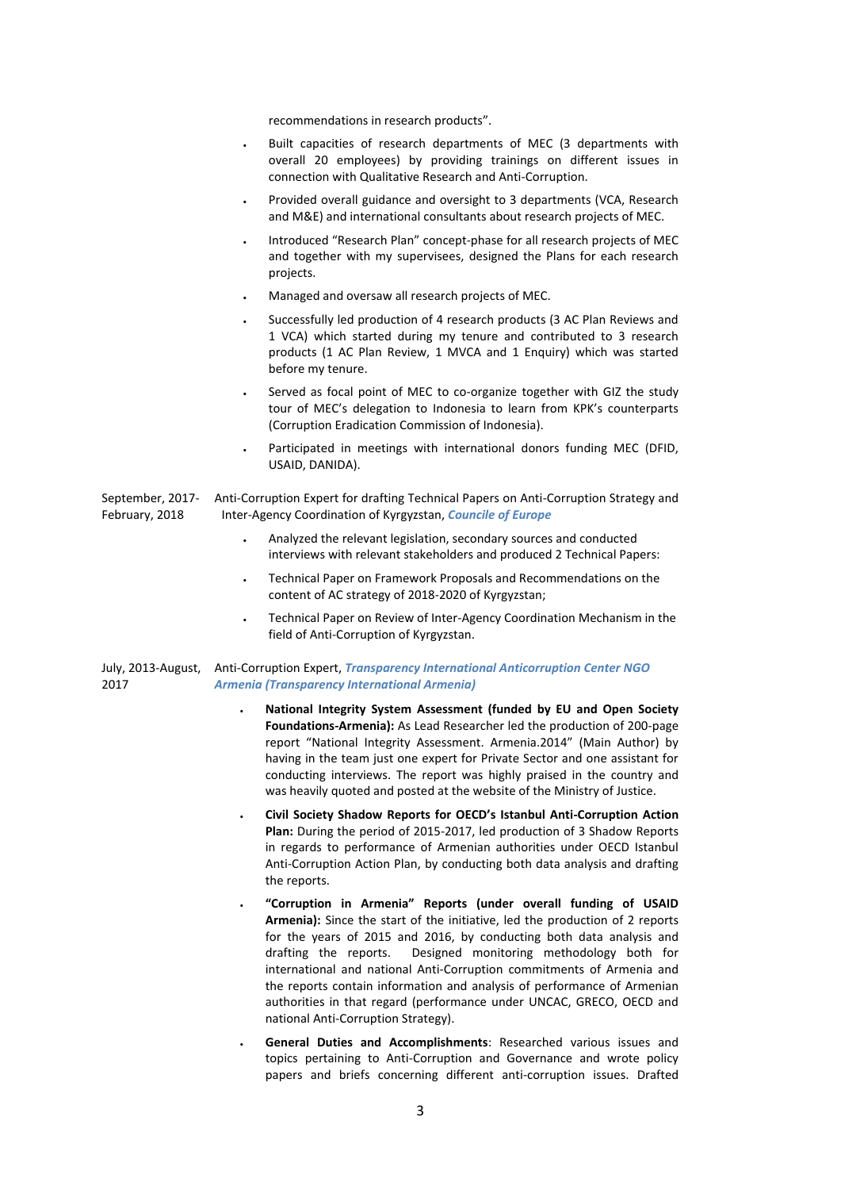recommendations in research products".

- Built capacities of research departments of MEC (3 departments with overall 20 employees) by providing trainings on different issues in connection with Qualitative Research and Anti-Corruption.
- Provided overall guidance and oversight to 3 departments (VCA, Research and M&E) and international consultants about research projects of MEC.
- Introduced "Research Plan" concept-phase for all research projects of MEC and together with my supervisees, designed the Plans for each research projects.
- Managed and oversaw all research projects of MEC.
- Successfully led production of 4 research products (3 AC Plan Reviews and 1 VCA) which started during my tenure and contributed to 3 research products (1 AC Plan Review, 1 MVCA and 1 Enquiry) which was started before my tenure.
- Served as focal point of MEC to co-organize together with GIZ the study tour of MEC's delegation to Indonesia to learn from KPK's counterparts (Corruption Eradication Commission of Indonesia).
- Participated in meetings with international donors funding MEC (DFID, USAID, DANIDA).

September, 2017- February, 2018 Anti-Corruption Expert for drafting Technical Papers on Anti-Corruption Strategy and Inter-Agency Coordination of Kyrgyzstan, *Councile of Europe*

- Analyzed the relevant legislation, secondary sources and conducted interviews with relevant stakeholders and produced 2 Technical Papers:
- Technical Paper on Framework Proposals and Recommendations on the content of AC strategy of 2018-2020 of Kyrgyzstan;
- Technical Paper on Review of Inter-Agency Coordination Mechanism in the field of Anti-Corruption of Kyrgyzstan.

July, 2013-August, Anti-Corruption Expert, *Transparency International Anticorruption Center NGO*  2017 *Armenia (Transparency International Armenia)*

- **National Integrity System Assessment (funded by EU and Open Society Foundations-Armenia):** As Lead Researcher led the production of 200-page report "National Integrity Assessment. Armenia.2014" (Main Author) by having in the team just one expert for Private Sector and one assistant for conducting interviews. The report was highly praised in the country and was heavily quoted and posted at the website of the Ministry of Justice.
- **Civil Society Shadow Reports for OECD's Istanbul Anti-Corruption Action Plan:** During the period of 2015-2017, led production of 3 Shadow Reports in regards to performance of Armenian authorities under OECD Istanbul Anti-Corruption Action Plan, by conducting both data analysis and drafting the reports.
- **"Corruption in Armenia" Reports (under overall funding of USAID Armenia):** Since the start of the initiative, led the production of 2 reports for the years of 2015 and 2016, by conducting both data analysis and drafting the reports. Designed monitoring methodology both for international and national Anti-Corruption commitments of Armenia and the reports contain information and analysis of performance of Armenian authorities in that regard (performance under UNCAC, GRECO, OECD and national Anti-Corruption Strategy).
- **General Duties and Accomplishments**: Researched various issues and topics pertaining to Anti-Corruption and Governance and wrote policy papers and briefs concerning different anti-corruption issues. Drafted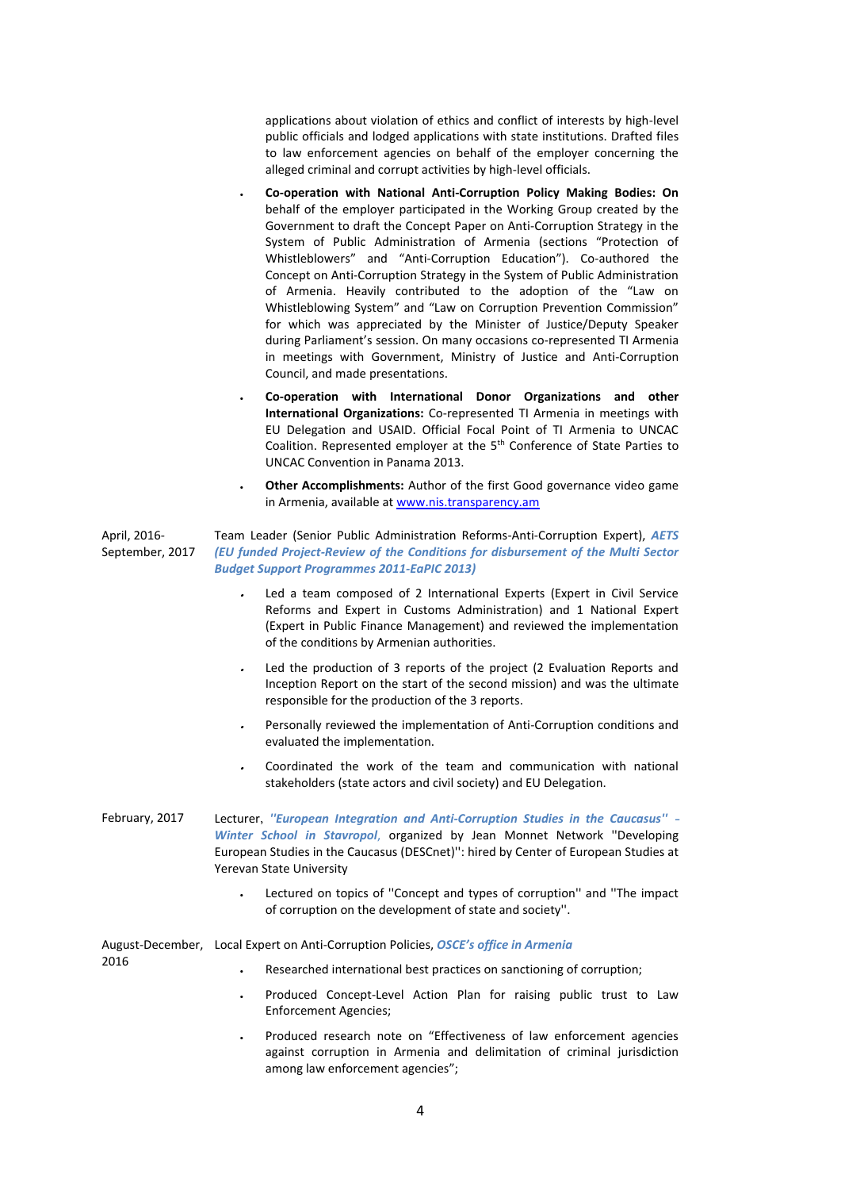applications about violation of ethics and conflict of interests by high-level public officials and lodged applications with state institutions. Drafted files to law enforcement agencies on behalf of the employer concerning the alleged criminal and corrupt activities by high-level officials.

- **Co-operation with National Anti-Corruption Policy Making Bodies: On** behalf of the employer participated in the Working Group created by the Government to draft the Concept Paper on Anti-Corruption Strategy in the System of Public Administration of Armenia (sections "Protection of Whistleblowers" and "Anti-Corruption Education"). Co-authored the Concept on Anti-Corruption Strategy in the System of Public Administration of Armenia. Heavily contributed to the adoption of the "Law on Whistleblowing System" and "Law on Corruption Prevention Commission" for which was appreciated by the Minister of Justice/Deputy Speaker during Parliament's session. On many occasions co-represented TI Armenia in meetings with Government, Ministry of Justice and Anti-Corruption Council, and made presentations.
- **Co-operation with International Donor Organizations and other International Organizations:** Co-represented TI Armenia in meetings with EU Delegation and USAID. Official Focal Point of TI Armenia to UNCAC Coalition. Represented employer at the 5<sup>th</sup> Conference of State Parties to UNCAC Convention in Panama 2013.
- **Other Accomplishments:** Author of the first Good governance video game in Armenia, available at [www.nis.transparency.am](http://www.nis.transparency.am/)

April, 2016- September, 2017 Team Leader (Senior Public Administration Reforms-Anti-Corruption Expert), *AETS (EU funded Project-Review of the Conditions for disbursement of the Multi Sector Budget Support Programmes 2011-EaPIC 2013)*

- ٠ Led a team composed of 2 International Experts (Expert in Civil Service Reforms and Expert in Customs Administration) and 1 National Expert (Expert in Public Finance Management) and reviewed the implementation of the conditions by Armenian authorities.
- . Led the production of 3 reports of the project (2 Evaluation Reports and Inception Report on the start of the second mission) and was the ultimate responsible for the production of the 3 reports.
- Personally reviewed the implementation of Anti-Corruption conditions and evaluated the implementation.
- ٠ Coordinated the work of the team and communication with national stakeholders (state actors and civil society) and EU Delegation.
- February, 2017 Lecturer, *''European Integration and Anti-Corruption Studies in the Caucasus'' Winter School in Stavropol*, organized by Jean Monnet Network ''Developing European Studies in the Caucasus (DESCnet)'': hired by Center of European Studies at Yerevan State University
	- Lectured on topics of ''Concept and types of corruption'' and ''The impact of corruption on the development of state and society''.

August-December, Local Expert on Anti-Corruption Policies, *OSCE's office in Armenia* 2016 Researched international best practices on sanctioning of corruption;

- 
- Produced Concept-Level Action Plan for raising public trust to Law Enforcement Agencies;
- Produced research note on "Effectiveness of law enforcement agencies against corruption in Armenia and delimitation of criminal jurisdiction among law enforcement agencies";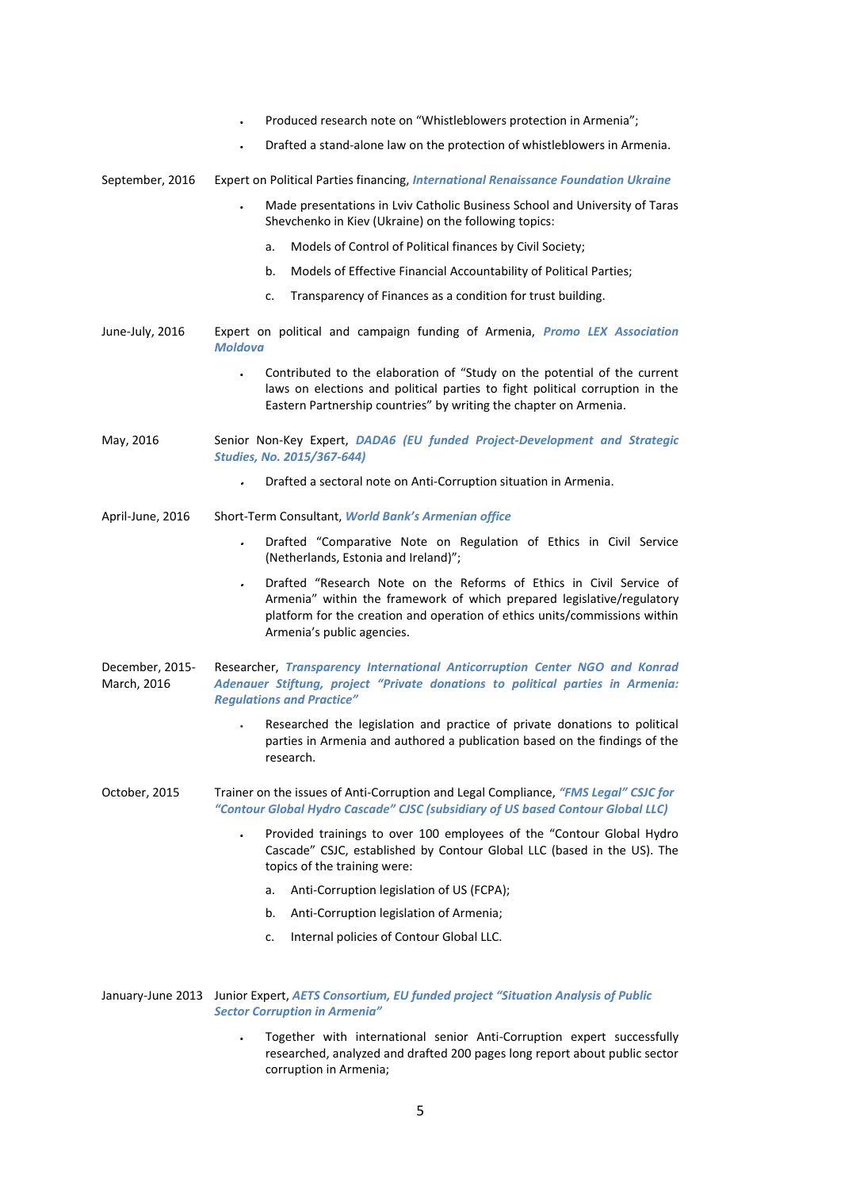|                                | Produced research note on "Whistleblowers protection in Armenia";                                                                                                                                                                                         |
|--------------------------------|-----------------------------------------------------------------------------------------------------------------------------------------------------------------------------------------------------------------------------------------------------------|
|                                | Drafted a stand-alone law on the protection of whistleblowers in Armenia.                                                                                                                                                                                 |
| September, 2016                | Expert on Political Parties financing, International Renaissance Foundation Ukraine                                                                                                                                                                       |
|                                | Made presentations in Lviv Catholic Business School and University of Taras<br>Shevchenko in Kiev (Ukraine) on the following topics:                                                                                                                      |
|                                | Models of Control of Political finances by Civil Society;<br>a.                                                                                                                                                                                           |
|                                | Models of Effective Financial Accountability of Political Parties;<br>b.                                                                                                                                                                                  |
|                                | Transparency of Finances as a condition for trust building.<br>c.                                                                                                                                                                                         |
| June-July, 2016                | Expert on political and campaign funding of Armenia, Promo LEX Association<br><b>Moldova</b>                                                                                                                                                              |
|                                | Contributed to the elaboration of "Study on the potential of the current<br>laws on elections and political parties to fight political corruption in the<br>Eastern Partnership countries" by writing the chapter on Armenia.                             |
| May, 2016                      | Senior Non-Key Expert, DADA6 (EU funded Project-Development and Strategic<br><b>Studies, No. 2015/367-644)</b>                                                                                                                                            |
|                                | Drafted a sectoral note on Anti-Corruption situation in Armenia.                                                                                                                                                                                          |
| April-June, 2016               | Short-Term Consultant, World Bank's Armenian office                                                                                                                                                                                                       |
|                                | Drafted "Comparative Note on Regulation of Ethics in Civil Service<br>$\bullet$<br>(Netherlands, Estonia and Ireland)";                                                                                                                                   |
|                                | Drafted "Research Note on the Reforms of Ethics in Civil Service of<br>Armenia" within the framework of which prepared legislative/regulatory<br>platform for the creation and operation of ethics units/commissions within<br>Armenia's public agencies. |
| December, 2015-<br>March, 2016 | Researcher, Transparency International Anticorruption Center NGO and Konrad<br>Adenauer Stiftung, project "Private donations to political parties in Armenia:<br><b>Regulations and Practice"</b>                                                         |
|                                | Researched the legislation and practice of private donations to political<br>parties in Armenia and authored a publication based on the findings of the<br>research.                                                                                      |
| October, 2015                  | Trainer on the issues of Anti-Corruption and Legal Compliance, "FMS Legal" CSJC for<br>"Contour Global Hydro Cascade" CJSC (subsidiary of US based Contour Global LLC)                                                                                    |
|                                | Provided trainings to over 100 employees of the "Contour Global Hydro<br>Cascade" CSJC, established by Contour Global LLC (based in the US). The<br>topics of the training were:                                                                          |
|                                | Anti-Corruption legislation of US (FCPA);<br>a.                                                                                                                                                                                                           |
|                                | Anti-Corruption legislation of Armenia;<br>b.                                                                                                                                                                                                             |
|                                | Internal policies of Contour Global LLC.<br>c.                                                                                                                                                                                                            |
|                                | January-June 2013 Junior Expert, AETS Consortium, EU funded project "Situation Analysis of Public<br><b>Sector Corruption in Armenia"</b>                                                                                                                 |
|                                | Together with international senior Anti-Corruption expert successfully<br>researched, analyzed and drafted 200 pages long report about public sector<br>corruption in Armenia;                                                                            |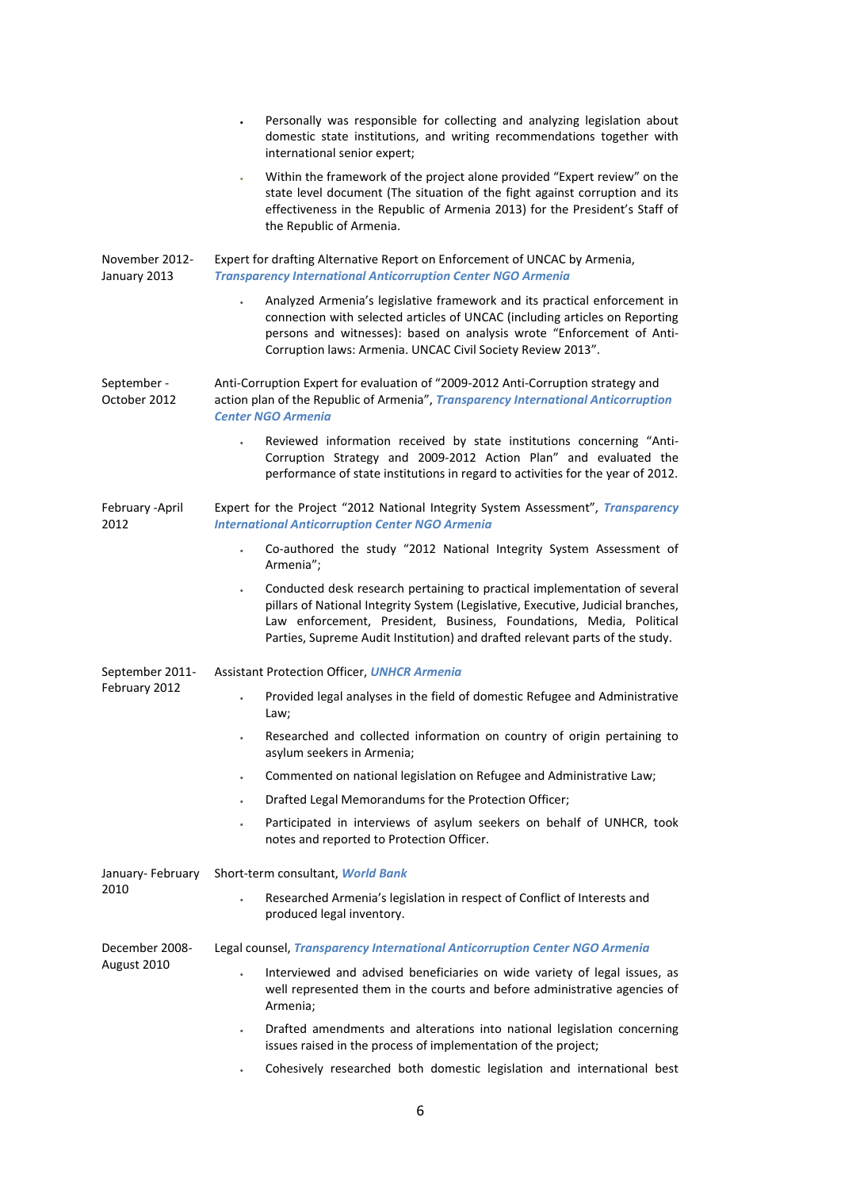|                                | Personally was responsible for collecting and analyzing legislation about<br>domestic state institutions, and writing recommendations together with<br>international senior expert;                                                                                                                                               |
|--------------------------------|-----------------------------------------------------------------------------------------------------------------------------------------------------------------------------------------------------------------------------------------------------------------------------------------------------------------------------------|
|                                | Within the framework of the project alone provided "Expert review" on the<br>$\bullet$<br>state level document (The situation of the fight against corruption and its<br>effectiveness in the Republic of Armenia 2013) for the President's Staff of<br>the Republic of Armenia.                                                  |
| November 2012-<br>January 2013 | Expert for drafting Alternative Report on Enforcement of UNCAC by Armenia,<br><b>Transparency International Anticorruption Center NGO Armenia</b>                                                                                                                                                                                 |
|                                | Analyzed Armenia's legislative framework and its practical enforcement in<br>$\bullet$<br>connection with selected articles of UNCAC (including articles on Reporting<br>persons and witnesses): based on analysis wrote "Enforcement of Anti-<br>Corruption laws: Armenia. UNCAC Civil Society Review 2013".                     |
| September -<br>October 2012    | Anti-Corruption Expert for evaluation of "2009-2012 Anti-Corruption strategy and<br>action plan of the Republic of Armenia", Transparency International Anticorruption<br><b>Center NGO Armenia</b>                                                                                                                               |
|                                | Reviewed information received by state institutions concerning "Anti-<br>Corruption Strategy and 2009-2012 Action Plan" and evaluated the<br>performance of state institutions in regard to activities for the year of 2012.                                                                                                      |
| February - April<br>2012       | Expert for the Project "2012 National Integrity System Assessment", Transparency<br><b>International Anticorruption Center NGO Armenia</b>                                                                                                                                                                                        |
|                                | Co-authored the study "2012 National Integrity System Assessment of<br>Armenia";                                                                                                                                                                                                                                                  |
|                                | Conducted desk research pertaining to practical implementation of several<br>$\bullet$<br>pillars of National Integrity System (Legislative, Executive, Judicial branches,<br>Law enforcement, President, Business, Foundations, Media, Political<br>Parties, Supreme Audit Institution) and drafted relevant parts of the study. |
| September 2011-                | <b>Assistant Protection Officer, UNHCR Armenia</b>                                                                                                                                                                                                                                                                                |
| February 2012                  | Provided legal analyses in the field of domestic Refugee and Administrative<br>Law;                                                                                                                                                                                                                                               |
|                                | Researched and collected information on country of origin pertaining to<br>asylum seekers in Armenia;                                                                                                                                                                                                                             |
|                                | Commented on national legislation on Refugee and Administrative Law;                                                                                                                                                                                                                                                              |
|                                | Drafted Legal Memorandums for the Protection Officer;<br>$\bullet$                                                                                                                                                                                                                                                                |
|                                | Participated in interviews of asylum seekers on behalf of UNHCR, took<br>notes and reported to Protection Officer.                                                                                                                                                                                                                |
| January-February               | Short-term consultant, World Bank                                                                                                                                                                                                                                                                                                 |
| 2010                           | Researched Armenia's legislation in respect of Conflict of Interests and<br>produced legal inventory.                                                                                                                                                                                                                             |
| December 2008-                 | Legal counsel, Transparency International Anticorruption Center NGO Armenia                                                                                                                                                                                                                                                       |
| August 2010                    | Interviewed and advised beneficiaries on wide variety of legal issues, as<br>$\bullet$<br>well represented them in the courts and before administrative agencies of<br>Armenia;                                                                                                                                                   |
|                                | Drafted amendments and alterations into national legislation concerning<br>issues raised in the process of implementation of the project;                                                                                                                                                                                         |
|                                | Cohesively researched both domestic legislation and international best                                                                                                                                                                                                                                                            |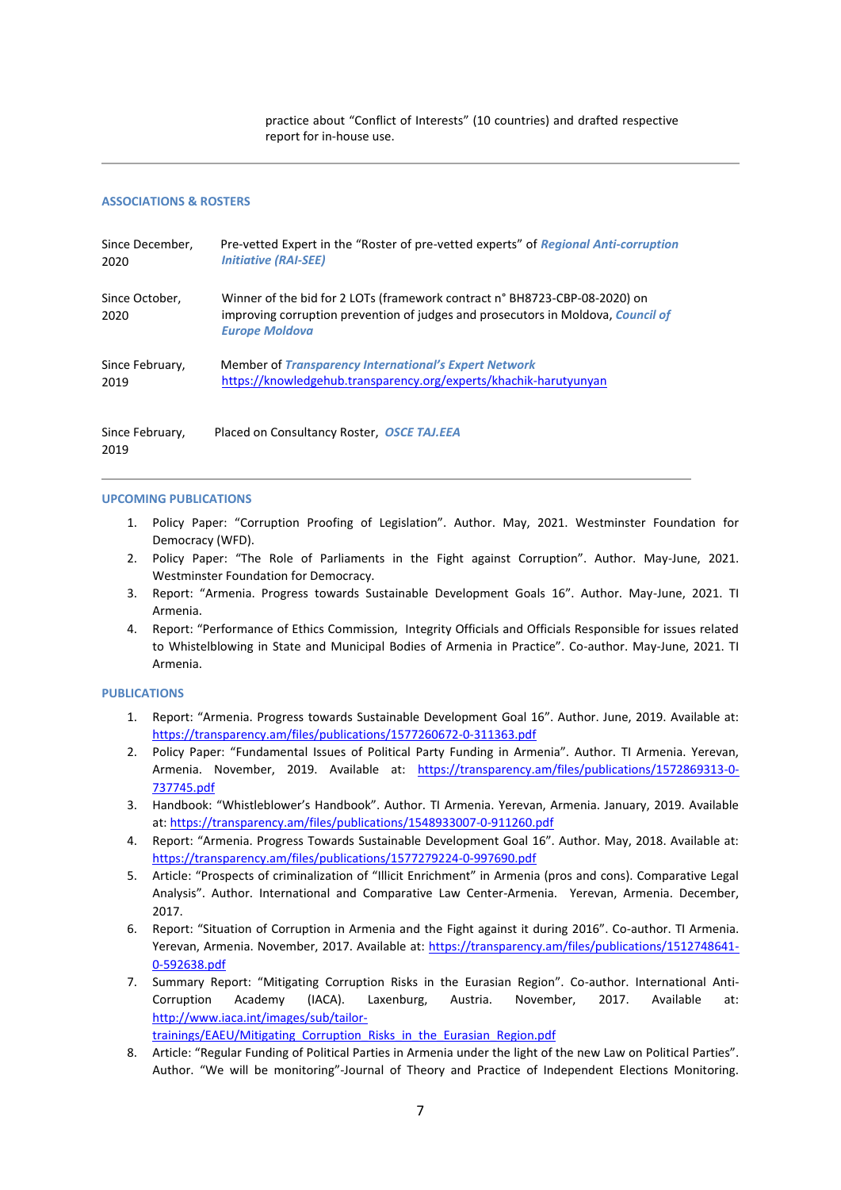practice about "Conflict of Interests" (10 countries) and drafted respective report for in-house use.

## **ASSOCIATIONS & ROSTERS**

| Since December.         | Pre-vetted Expert in the "Roster of pre-vetted experts" of Regional Anti-corruption                                                                                                     |
|-------------------------|-----------------------------------------------------------------------------------------------------------------------------------------------------------------------------------------|
| 2020                    | <b>Initiative (RAI-SEE)</b>                                                                                                                                                             |
| Since October,<br>2020  | Winner of the bid for 2 LOTs (framework contract n° BH8723-CBP-08-2020) on<br>improving corruption prevention of judges and prosecutors in Moldova, Council of<br><b>Europe Moldova</b> |
| Since February,         | <b>Member of Transparency International's Expert Network</b>                                                                                                                            |
| 2019                    | https://knowledgehub.transparency.org/experts/khachik-harutyunyan                                                                                                                       |
| Since February,<br>2019 | Placed on Consultancy Roster, OSCE TAJ.EEA                                                                                                                                              |

**UPCOMING PUBLICATIONS**

- 1. Policy Paper: "Corruption Proofing of Legislation". Author. May, 2021. Westminster Foundation for Democracy (WFD).
- 2. Policy Paper: "The Role of Parliaments in the Fight against Corruption". Author. May-June, 2021. Westminster Foundation for Democracy.
- 3. Report: "Armenia. Progress towards Sustainable Development Goals 16". Author. May-June, 2021. TI Armenia.
- 4. Report: "Performance of Ethics Commission, Integrity Officials and Officials Responsible for issues related to Whistelblowing in State and Municipal Bodies of Armenia in Practice". Co-author. May-June, 2021. TI Armenia.

# **PUBLICATIONS**

- 1. Report: "Armenia. Progress towards Sustainable Development Goal 16". Author. June, 2019. Available at: <https://transparency.am/files/publications/1577260672-0-311363.pdf>
- 2. Policy Paper: "Fundamental Issues of Political Party Funding in Armenia". Author. TI Armenia. Yerevan, Armenia. November, 2019. Available at: [https://transparency.am/files/publications/1572869313-0-](https://transparency.am/files/publications/1572869313-0-737745.pdf) [737745.pdf](https://transparency.am/files/publications/1572869313-0-737745.pdf)
- 3. Handbook: "Whistleblower's Handbook". Author. TI Armenia. Yerevan, Armenia. January, 2019. Available at[: https://transparency.am/files/publications/1548933007-0-911260.pdf](https://transparency.am/files/publications/1548933007-0-911260.pdf)
- 4. Report: "Armenia. Progress Towards Sustainable Development Goal 16". Author. May, 2018. Available at: <https://transparency.am/files/publications/1577279224-0-997690.pdf>
- 5. Article: "Prospects of criminalization of "Illicit Enrichment" in Armenia (pros and cons). Comparative Legal Analysis". Author. International and Comparative Law Center-Armenia. Yerevan, Armenia. December, 2017.
- 6. Report: "Situation of Corruption in Armenia and the Fight against it during 2016". Co-author. TI Armenia. Yerevan, Armenia. November, 2017. Available at: [https://transparency.am/files/publications/1512748641-](https://transparency.am/files/publications/1512748641-0-592638.pdf) [0-592638.pdf](https://transparency.am/files/publications/1512748641-0-592638.pdf)
- 7. Summary Report: "Mitigating Corruption Risks in the Eurasian Region". Co-author. International Anti-Corruption Academy (IACA). Laxenburg, Austria. November, 2017. Available at: [http://www.iaca.int/images/sub/tailor](http://www.iaca.int/images/sub/tailor-trainings/EAEU/Mitigating_Corruption_Risks_in_the_Eurasian_Region.pdf)trainings/EAEU/Mitigating Corruption Risks in the Eurasian Region.pdf
- 8. Article: "Regular Funding of Political Parties in Armenia under the light of the new Law on Political Parties". Author. "We will be monitoring"-Journal of Theory and Practice of Independent Elections Monitoring.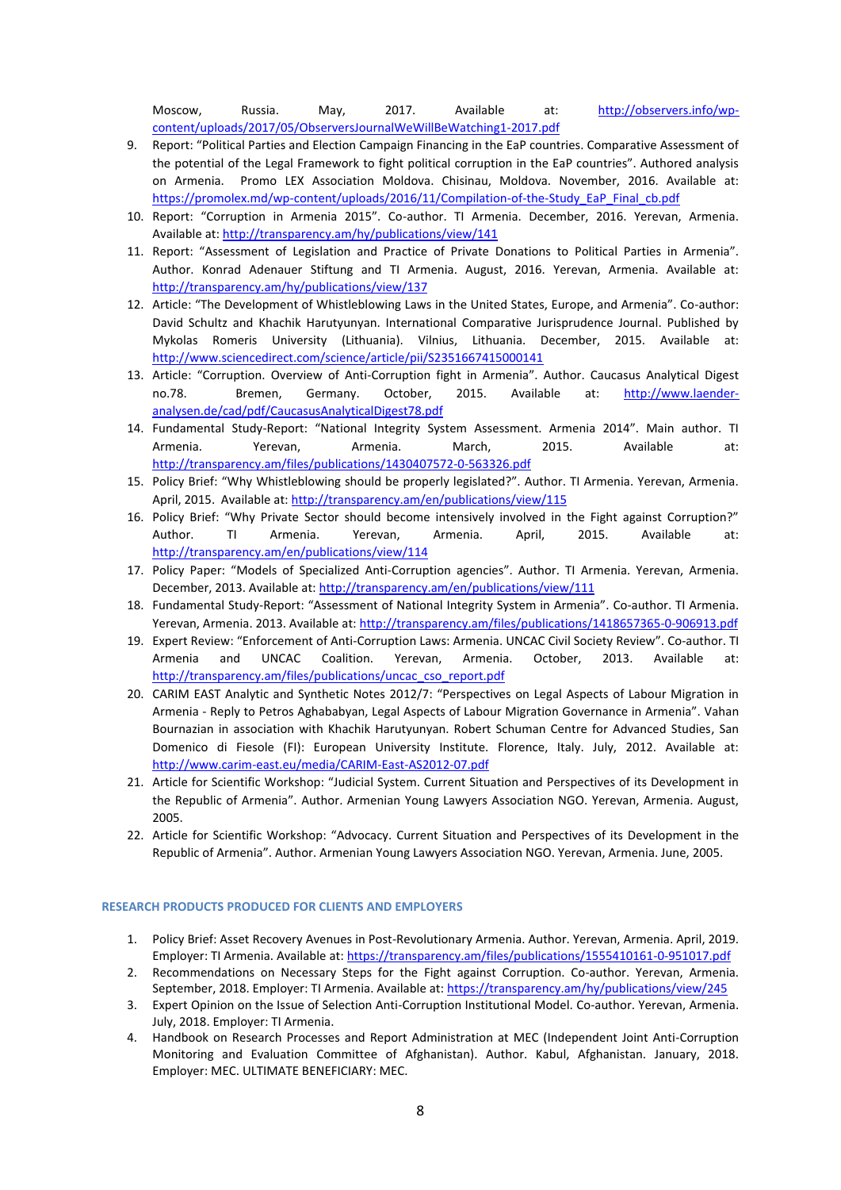Moscow, Russia. May, 2017. Available at: [http://observers.info/wp](http://observers.info/wp-content/uploads/2017/05/ObserversJournalWeWillBeWatching1-2017.pdf)[content/uploads/2017/05/ObserversJournalWeWillBeWatching1-2017.pdf](http://observers.info/wp-content/uploads/2017/05/ObserversJournalWeWillBeWatching1-2017.pdf) 

- 9. Report: "Political Parties and Election Campaign Financing in the EaP countries. Comparative Assessment of the potential of the Legal Framework to fight political corruption in the EaP countries". Authored analysis on Armenia. Promo LEX Association Moldova. Chisinau, Moldova. November, 2016. Available at: https://promolex.md/wp-content/uploads/2016/11/Compilation-of-the-Study\_EaP\_Final\_cb.pdf
- 10. Report: "Corruption in Armenia 2015". Co-author. TI Armenia. December, 2016. Yerevan, Armenia. Available at[: http://transparency.am/hy/publications/view/141](http://transparency.am/hy/publications/view/141)
- 11. Report: "Assessment of Legislation and Practice of Private Donations to Political Parties in Armenia". Author. Konrad Adenauer Stiftung and TI Armenia. August, 2016. Yerevan, Armenia. Available at: <http://transparency.am/hy/publications/view/137>
- 12. Article: "The Development of Whistleblowing Laws in the United States, Europe, and Armenia". Co-author: David Schultz and Khachik Harutyunyan. International Comparative Jurisprudence Journal. Published by Mykolas Romeris University (Lithuania). Vilnius, Lithuania. December, 2015. Available at: <http://www.sciencedirect.com/science/article/pii/S2351667415000141>
- 13. Article: "Corruption. Overview of Anti-Corruption fight in Armenia". Author. Caucasus Analytical Digest no.78. Bremen, Germany. October, 2015. Available at: [http://www.laender](http://www.laender-analysen.de/cad/pdf/CaucasusAnalyticalDigest78.pdf)[analysen.de/cad/pdf/CaucasusAnalyticalDigest78.pdf](http://www.laender-analysen.de/cad/pdf/CaucasusAnalyticalDigest78.pdf)
- 14. Fundamental Study-Report: "National Integrity System Assessment. Armenia 2014". Main author. TI Armenia. Yerevan, Armenia. March, 2015. Available at: <http://transparency.am/files/publications/1430407572-0-563326.pdf>
- 15. Policy Brief: "Why Whistleblowing should be properly legislated?". Author. TI Armenia. Yerevan, Armenia. April, 2015. Available at[: http://transparency.am/en/publications/view/115](http://transparency.am/en/publications/view/115)
- 16. Policy Brief: "Why Private Sector should become intensively involved in the Fight against Corruption?" Author. TI Armenia. Yerevan, Armenia. April, 2015. Available at: <http://transparency.am/en/publications/view/114>
- 17. Policy Paper: "Models of Specialized Anti-Corruption agencies". Author. TI Armenia. Yerevan, Armenia. December, 2013. Available at:<http://transparency.am/en/publications/view/111>
- 18. Fundamental Study-Report: "Assessment of National Integrity System in Armenia". Co-author. TI Armenia. Yerevan, Armenia. 2013. Available at[: http://transparency.am/files/publications/1418657365-0-906913.pdf](http://transparency.am/files/publications/1418657365-0-906913.pdf)
- 19. Expert Review: "Enforcement of Anti-Corruption Laws: Armenia. UNCAC Civil Society Review". Co-author. TI Armenia and UNCAC Coalition. Yerevan, Armenia. October, 2013. Available at: [http://transparency.am/files/publications/uncac\\_cso\\_report.pdf](http://transparency.am/files/publications/uncac_cso_report.pdf)
- 20. CARIM EAST Analytic and Synthetic Notes 2012/7: "Perspectives on Legal Aspects of Labour Migration in Armenia - Reply to Petros Aghababyan, Legal Aspects of Labour Migration Governance in Armenia". Vahan Bournazian in association with Khachik Harutyunyan. Robert Schuman Centre for Advanced Studies, San Domenico di Fiesole (FI): European University Institute. Florence, Italy. July, 2012. Available at: <http://www.carim-east.eu/media/CARIM-East-AS2012-07.pdf>
- 21. Article for Scientific Workshop: "Judicial System. Current Situation and Perspectives of its Development in the Republic of Armenia". Author. Armenian Young Lawyers Association NGO. Yerevan, Armenia. August, 2005.
- 22. Article for Scientific Workshop: "Advocacy. Current Situation and Perspectives of its Development in the Republic of Armenia". Author. Armenian Young Lawyers Association NGO. Yerevan, Armenia. June, 2005.

# **RESEARCH PRODUCTS PRODUCED FOR CLIENTS AND EMPLOYERS**

- 1. Policy Brief: Asset Recovery Avenues in Post-Revolutionary Armenia. Author. Yerevan, Armenia. April, 2019. Employer: TI Armenia. Available at[: https://transparency.am/files/publications/1555410161-0-951017.pdf](https://transparency.am/files/publications/1555410161-0-951017.pdf)
- 2. Recommendations on Necessary Steps for the Fight against Corruption. Co-author. Yerevan, Armenia. September, 2018. Employer: TI Armenia. Available at[: https://transparency.am/hy/publications/view/245](https://transparency.am/hy/publications/view/245)
- 3. Expert Opinion on the Issue of Selection Anti-Corruption Institutional Model. Co-author. Yerevan, Armenia. July, 2018. Employer: TI Armenia.
- 4. Handbook on Research Processes and Report Administration at MEC (Independent Joint Anti-Corruption Monitoring and Evaluation Committee of Afghanistan). Author. Kabul, Afghanistan. January, 2018. Employer: MEC. ULTIMATE BENEFICIARY: MEC.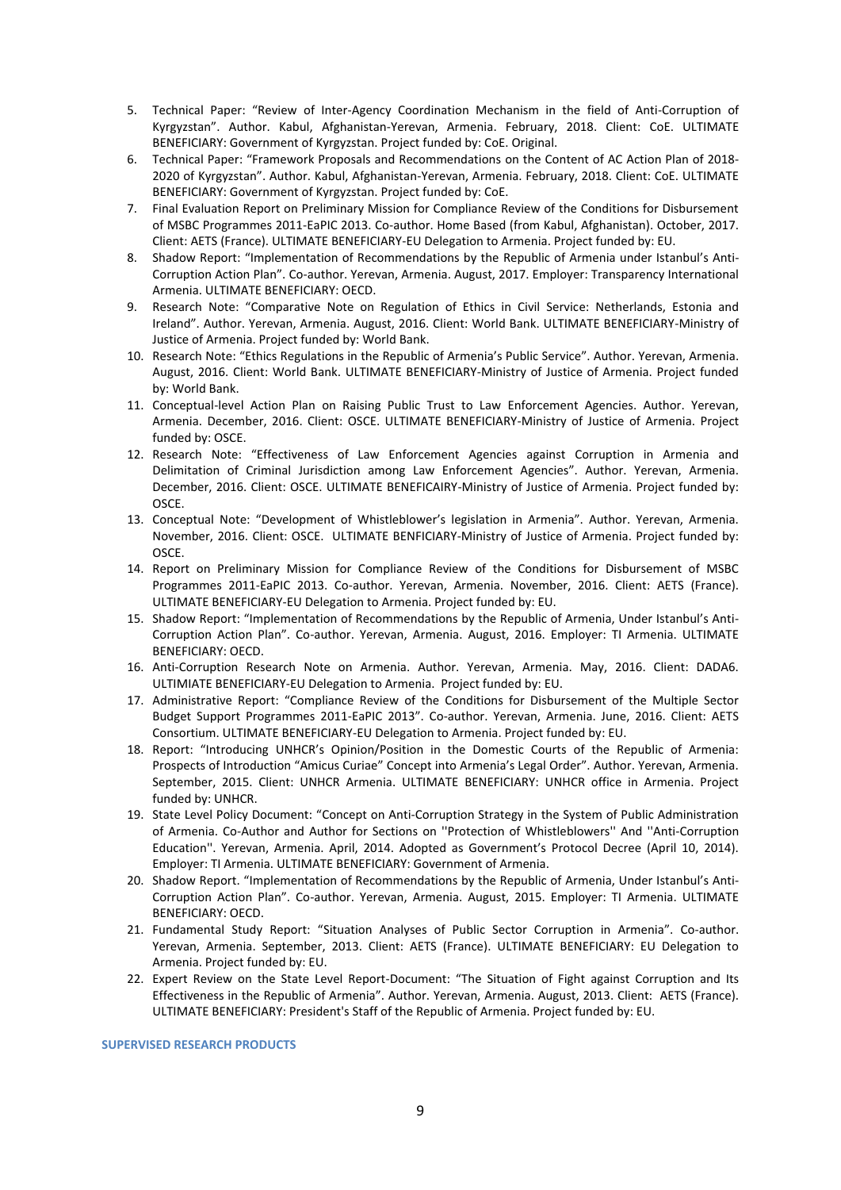- 5. Technical Paper: "Review of Inter-Agency Coordination Mechanism in the field of Anti-Corruption of Kyrgyzstan". Author. Kabul, Afghanistan-Yerevan, Armenia. February, 2018. Client: CoE. ULTIMATE BENEFICIARY: Government of Kyrgyzstan. Project funded by: CoE. Original.
- 6. Technical Paper: "Framework Proposals and Recommendations on the Content of AC Action Plan of 2018- 2020 of Kyrgyzstan". Author. Kabul, Afghanistan-Yerevan, Armenia. February, 2018. Client: CoE. ULTIMATE BENEFICIARY: Government of Kyrgyzstan. Project funded by: CoE.
- 7. Final Evaluation Report on Preliminary Mission for Compliance Review of the Conditions for Disbursement of MSBC Programmes 2011-EaPIC 2013. Co-author. Home Based (from Kabul, Afghanistan). October, 2017. Client: AETS (France). ULTIMATE BENEFICIARY-EU Delegation to Armenia. Project funded by: EU.
- 8. Shadow Report: "Implementation of Recommendations by the Republic of Armenia under Istanbul's Anti-Corruption Action Plan". Co-author. Yerevan, Armenia. August, 2017. Employer: Transparency International Armenia. ULTIMATE BENEFICIARY: OECD.
- 9. Research Note: "Comparative Note on Regulation of Ethics in Civil Service: Netherlands, Estonia and Ireland". Author. Yerevan, Armenia. August, 2016. Client: World Bank. ULTIMATE BENEFICIARY-Ministry of Justice of Armenia. Project funded by: World Bank.
- 10. Research Note: "Ethics Regulations in the Republic of Armenia's Public Service". Author. Yerevan, Armenia. August, 2016. Client: World Bank. ULTIMATE BENEFICIARY-Ministry of Justice of Armenia. Project funded by: World Bank.
- 11. Conceptual-level Action Plan on Raising Public Trust to Law Enforcement Agencies. Author. Yerevan, Armenia. December, 2016. Client: OSCE. ULTIMATE BENEFICIARY-Ministry of Justice of Armenia. Project funded by: OSCE.
- 12. Research Note: "Effectiveness of Law Enforcement Agencies against Corruption in Armenia and Delimitation of Criminal Jurisdiction among Law Enforcement Agencies". Author. Yerevan, Armenia. December, 2016. Client: OSCE. ULTIMATE BENEFICAIRY-Ministry of Justice of Armenia. Project funded by: OSCE.
- 13. Conceptual Note: "Development of Whistleblower's legislation in Armenia". Author. Yerevan, Armenia. November, 2016. Client: OSCE. ULTIMATE BENFICIARY-Ministry of Justice of Armenia. Project funded by: OSCE.
- 14. Report on Preliminary Mission for Compliance Review of the Conditions for Disbursement of MSBC Programmes 2011-EaPIC 2013. Co-author. Yerevan, Armenia. November, 2016. Client: AETS (France). ULTIMATE BENEFICIARY-EU Delegation to Armenia. Project funded by: EU.
- 15. Shadow Report: "Implementation of Recommendations by the Republic of Armenia, Under Istanbul's Anti-Corruption Action Plan". Co-author. Yerevan, Armenia. August, 2016. Employer: TI Armenia. ULTIMATE BENEFICIARY: OECD.
- 16. Anti-Corruption Research Note on Armenia. Author. Yerevan, Armenia. May, 2016. Client: DADA6. ULTIMIATE BENEFICIARY-EU Delegation to Armenia. Project funded by: EU.
- 17. Administrative Report: "Compliance Review of the Conditions for Disbursement of the Multiple Sector Budget Support Programmes 2011-EaPIC 2013". Co-author. Yerevan, Armenia. June, 2016. Client: AETS Consortium. ULTIMATE BENEFICIARY-EU Delegation to Armenia. Project funded by: EU.
- 18. Report: "Introducing UNHCR's Opinion/Position in the Domestic Courts of the Republic of Armenia: Prospects of Introduction "Amicus Curiae" Concept into Armenia's Legal Order". Author. Yerevan, Armenia. September, 2015. Client: UNHCR Armenia. ULTIMATE BENEFICIARY: UNHCR office in Armenia. Project funded by: UNHCR.
- 19. State Level Policy Document: "Concept on Anti-Corruption Strategy in the System of Public Administration of Armenia. Co-Author and Author for Sections on ''Protection of Whistleblowers'' And ''Anti-Corruption Education''. Yerevan, Armenia. April, 2014. Adopted as Government's Protocol Decree (April 10, 2014). Employer: TI Armenia. ULTIMATE BENEFICIARY: Government of Armenia.
- 20. Shadow Report. "Implementation of Recommendations by the Republic of Armenia, Under Istanbul's Anti-Corruption Action Plan". Co-author. Yerevan, Armenia. August, 2015. Employer: TI Armenia. ULTIMATE BENEFICIARY: OECD.
- 21. Fundamental Study Report: "Situation Analyses of Public Sector Corruption in Armenia". Co-author. Yerevan, Armenia. September, 2013. Client: AETS (France). ULTIMATE BENEFICIARY: EU Delegation to Armenia. Project funded by: EU.
- 22. Expert Review on the State Level Report-Document: "The Situation of Fight against Corruption and Its Effectiveness in the Republic of Armenia". Author. Yerevan, Armenia. August, 2013. Client: AETS (France). ULTIMATE BENEFICIARY: President's Staff of the Republic of Armenia. Project funded by: EU.

**SUPERVISED RESEARCH PRODUCTS**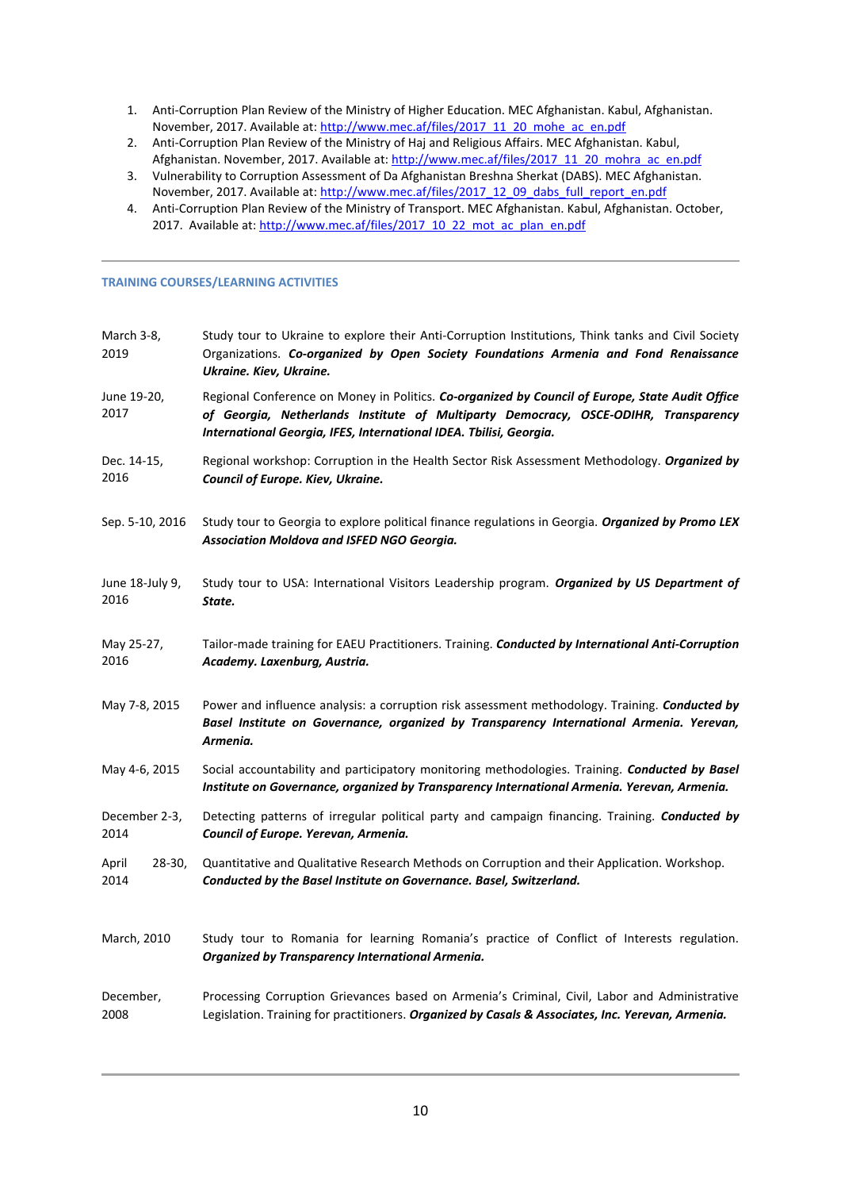- 1. Anti-Corruption Plan Review of the Ministry of Higher Education. MEC Afghanistan. Kabul, Afghanistan. November, 2017. Available at: [http://www.mec.af/files/2017\\_11\\_20\\_mohe\\_ac\\_en.pdf](http://www.mec.af/files/2017_11_20_mohe_ac_en.pdf)
- 2. Anti-Corruption Plan Review of the Ministry of Haj and Religious Affairs. MEC Afghanistan. Kabul, Afghanistan. November, 2017. Available at[: http://www.mec.af/files/2017\\_11\\_20\\_mohra\\_ac\\_en.pdf](http://www.mec.af/files/2017_11_20_mohra_ac_en.pdf)
- 3. Vulnerability to Corruption Assessment of Da Afghanistan Breshna Sherkat (DABS). MEC Afghanistan. November, 2017. Available at: [http://www.mec.af/files/2017\\_12\\_09\\_dabs\\_full\\_report\\_en.pdf](http://www.mec.af/files/2017_12_09_dabs_full_report_en.pdf)
- 4. Anti-Corruption Plan Review of the Ministry of Transport. MEC Afghanistan. Kabul, Afghanistan. October, 2017. Available at[: http://www.mec.af/files/2017\\_10\\_22\\_mot\\_ac\\_plan\\_en.pdf](http://www.mec.af/files/2017_10_22_mot_ac_plan_en.pdf)

# **TRAINING COURSES/LEARNING ACTIVITIES**

| March 3-8,<br>2019      | Study tour to Ukraine to explore their Anti-Corruption Institutions, Think tanks and Civil Society<br>Organizations. Co-organized by Open Society Foundations Armenia and Fond Renaissance<br>Ukraine. Kiev, Ukraine.                                        |
|-------------------------|--------------------------------------------------------------------------------------------------------------------------------------------------------------------------------------------------------------------------------------------------------------|
| June 19-20,<br>2017     | Regional Conference on Money in Politics. Co-organized by Council of Europe, State Audit Office<br>of Georgia, Netherlands Institute of Multiparty Democracy, OSCE-ODIHR, Transparency<br>International Georgia, IFES, International IDEA. Tbilisi, Georgia. |
| Dec. 14-15,<br>2016     | Regional workshop: Corruption in the Health Sector Risk Assessment Methodology. <i>Organized by</i><br>Council of Europe. Kiev, Ukraine.                                                                                                                     |
| Sep. 5-10, 2016         | Study tour to Georgia to explore political finance regulations in Georgia. Organized by Promo LEX<br>Association Moldova and ISFED NGO Georgia.                                                                                                              |
| June 18-July 9,<br>2016 | Study tour to USA: International Visitors Leadership program. Organized by US Department of<br>State.                                                                                                                                                        |
| May 25-27,<br>2016      | Tailor-made training for EAEU Practitioners. Training. Conducted by International Anti-Corruption<br>Academy. Laxenburg, Austria.                                                                                                                            |
| May 7-8, 2015           | Power and influence analysis: a corruption risk assessment methodology. Training. Conducted by<br>Basel Institute on Governance, organized by Transparency International Armenia. Yerevan,<br>Armenia.                                                       |
| May 4-6, 2015           | Social accountability and participatory monitoring methodologies. Training. Conducted by Basel<br>Institute on Governance, organized by Transparency International Armenia. Yerevan, Armenia.                                                                |
| December 2-3,<br>2014   | Detecting patterns of irregular political party and campaign financing. Training. Conducted by<br>Council of Europe. Yerevan, Armenia.                                                                                                                       |
| April<br>28-30,<br>2014 | Quantitative and Qualitative Research Methods on Corruption and their Application. Workshop.<br>Conducted by the Basel Institute on Governance. Basel, Switzerland.                                                                                          |
| March, 2010             | Study tour to Romania for learning Romania's practice of Conflict of Interests regulation.<br>Organized by Transparency International Armenia.                                                                                                               |
| December,<br>2008       | Processing Corruption Grievances based on Armenia's Criminal, Civil, Labor and Administrative<br>Legislation. Training for practitioners. Organized by Casals & Associates, Inc. Yerevan, Armenia.                                                           |